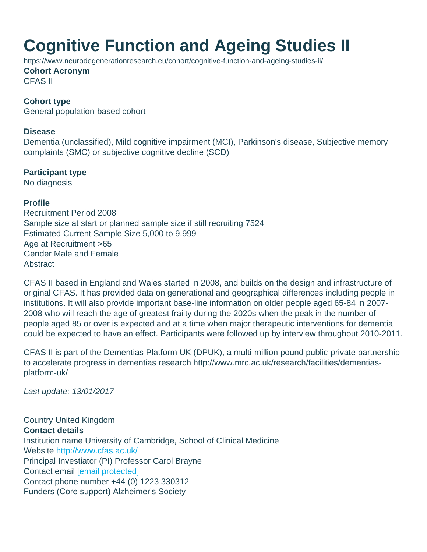## Cognitive Function and Ageing Studies II

https://www.neurodegenerationresearch.eu/cohort/cognitive-function-and-ageing-studies-ii/ Cohort Acronym CFAS II

Cohort type General population-based cohort

Disease

Dementia (unclassified), Mild cognitive impairment (MCI), Parkinson's disease, Subjective memory complaints (SMC) or subjective cognitive decline (SCD)

Participant type No diagnosis

Profile Recruitment Period 2008 Sample size at start or planned sample size if still recruiting 7524 Estimated Current Sample Size 5,000 to 9,999 Age at Recruitment >65 Gender Male and Female **Abstract** 

CFAS II based in England and Wales started in 2008, and builds on the design and infrastructure of original CFAS. It has provided data on generational and geographical differences including people in institutions. It will also provide important base-line information on older people aged 65-84 in 2007- 2008 who will reach the age of greatest frailty during the 2020s when the peak in the number of people aged 85 or over is expected and at a time when major therapeutic interventions for dementia could be expected to have an effect. Participants were followed up by interview throughout 2010-2011.

CFAS II is part of the Dementias Platform UK (DPUK), a multi-million pound public-private partnership to accelerate progress in dementias research http://www.mrc.ac.uk/research/facilities/dementiasplatform-uk/

Last update: 13/01/2017

Country United Kingdom Contact details Institution name University of Cambridge, School of Clinical Medicine Website <http://www.cfas.ac.uk/> Principal Investiator (PI) Professor Carol Brayne Contact email [\[email protected\]](/cdn-cgi/l/email-protection#ff939a9dcdcdbf929a9b8c9c9793d19c9e92d19e9cd18a94) Contact phone number +44 (0) 1223 330312 Funders (Core support) Alzheimer's Society